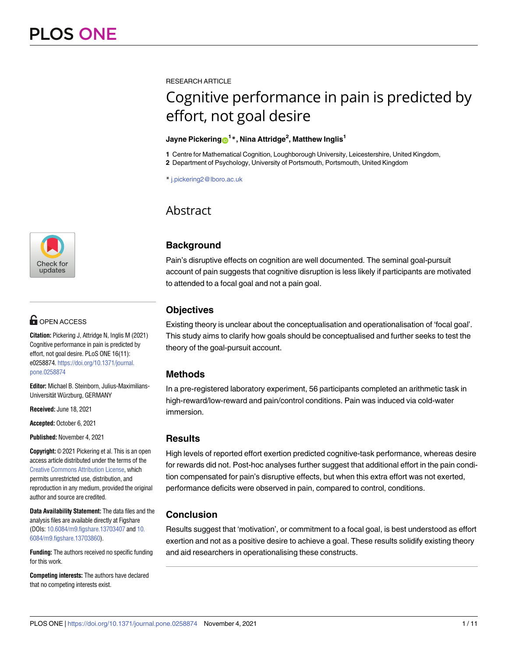

# **OPEN ACCESS**

**Citation:** Pickering J, Attridge N, Inglis M (2021) Cognitive performance in pain is predicted by effort, not goal desire. PLoS ONE 16(11): e0258874. [https://doi.org/10.1371/journal.](https://doi.org/10.1371/journal.pone.0258874) [pone.0258874](https://doi.org/10.1371/journal.pone.0258874)

**Editor:** Michael B. Steinborn, Julius-Maximilians-Universität Würzburg, GERMANY

**Received:** June 18, 2021

**Accepted:** October 6, 2021

**Published:** November 4, 2021

**Copyright:** © 2021 Pickering et al. This is an open access article distributed under the terms of the Creative Commons [Attribution](http://creativecommons.org/licenses/by/4.0/) License, which permits unrestricted use, distribution, and reproduction in any medium, provided the original author and source are credited.

**Data Availability Statement:** The data files and the analysis files are available directly at Figshare (DOIs: [10.6084/m9.figshare.13703407](https://doi.org/10.6084/m9.figshare.13703407) and [10.](https://doi.org/10.6084/m9.figshare.13703860) [6084/m9.figshare.13703860\)](https://doi.org/10.6084/m9.figshare.13703860).

**Funding:** The authors received no specific funding for this work.

**Competing interests:** The authors have declared that no competing interests exist.

RESEARCH ARTICLE

# Cognitive performance in pain is predicted by effort, not goal desire

## $\lambda$  Jayne Pickering $\mathbf{\Theta}^{1\,*}$ , Nina Attridge<sup>2</sup>, Matthew Inglis $^{1}$

**1** Centre for Mathematical Cognition, Loughborough University, Leicestershire, United Kingdom,

**2** Department of Psychology, University of Portsmouth, Portsmouth, United Kingdom

\* j.pickering2@lboro.ac.uk

# Abstract

# **Background**

Pain's disruptive effects on cognition are well documented. The seminal goal-pursuit account of pain suggests that cognitive disruption is less likely if participants are motivated to attended to a focal goal and not a pain goal.

# **Objectives**

Existing theory is unclear about the conceptualisation and operationalisation of 'focal goal'. This study aims to clarify how goals should be conceptualised and further seeks to test the theory of the goal-pursuit account.

# **Methods**

In a pre-registered laboratory experiment, 56 participants completed an arithmetic task in high-reward/low-reward and pain/control conditions. Pain was induced via cold-water immersion.

# **Results**

High levels of reported effort exertion predicted cognitive-task performance, whereas desire for rewards did not. Post-hoc analyses further suggest that additional effort in the pain condition compensated for pain's disruptive effects, but when this extra effort was not exerted, performance deficits were observed in pain, compared to control, conditions.

# **Conclusion**

Results suggest that 'motivation', or commitment to a focal goal, is best understood as effort exertion and not as a positive desire to achieve a goal. These results solidify existing theory and aid researchers in operationalising these constructs.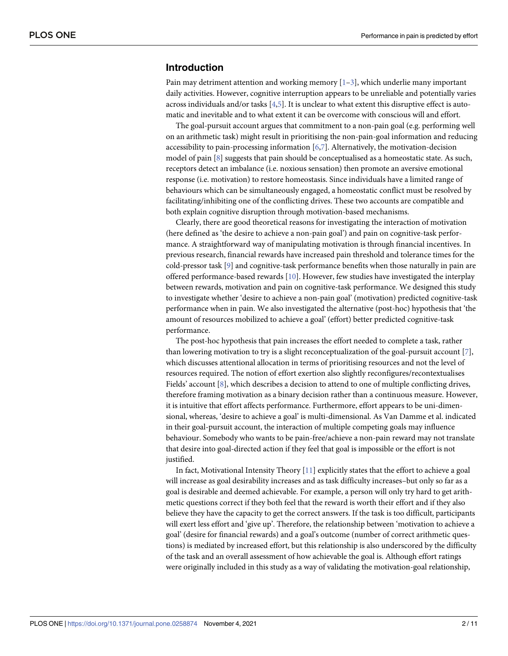# <span id="page-1-0"></span>**Introduction**

Pain may detriment attention and working memory  $[1-3]$ , which underlie many important daily activities. However, cognitive interruption appears to be unreliable and potentially varies across individuals and/or tasks [[4,5\]](#page-9-0). It is unclear to what extent this disruptive effect is automatic and inevitable and to what extent it can be overcome with conscious will and effort.

The goal-pursuit account argues that commitment to a non-pain goal (e.g. performing well on an arithmetic task) might result in prioritising the non-pain-goal information and reducing accessibility to pain-processing information  $[6,7]$  $[6,7]$ . Alternatively, the motivation-decision model of pain [[8\]](#page-9-0) suggests that pain should be conceptualised as a homeostatic state. As such, receptors detect an imbalance (i.e. noxious sensation) then promote an aversive emotional response (i.e. motivation) to restore homeostasis. Since individuals have a limited range of behaviours which can be simultaneously engaged, a homeostatic conflict must be resolved by facilitating/inhibiting one of the conflicting drives. These two accounts are compatible and both explain cognitive disruption through motivation-based mechanisms.

Clearly, there are good theoretical reasons for investigating the interaction of motivation (here defined as 'the desire to achieve a non-pain goal') and pain on cognitive-task performance. A straightforward way of manipulating motivation is through financial incentives. In previous research, financial rewards have increased pain threshold and tolerance times for the cold-pressor task [\[9](#page-9-0)] and cognitive-task performance benefits when those naturally in pain are offered performance-based rewards [\[10\]](#page-9-0). However, few studies have investigated the interplay between rewards, motivation and pain on cognitive-task performance. We designed this study to investigate whether 'desire to achieve a non-pain goal' (motivation) predicted cognitive-task performance when in pain. We also investigated the alternative (post-hoc) hypothesis that 'the amount of resources mobilized to achieve a goal' (effort) better predicted cognitive-task performance.

The post-hoc hypothesis that pain increases the effort needed to complete a task, rather than lowering motivation to try is a slight reconceptualization of the goal-pursuit account [\[7](#page-9-0)], which discusses attentional allocation in terms of prioritising resources and not the level of resources required. The notion of effort exertion also slightly reconfigures/recontextualises Fields' account [\[8\]](#page-9-0), which describes a decision to attend to one of multiple conflicting drives, therefore framing motivation as a binary decision rather than a continuous measure. However, it is intuitive that effort affects performance. Furthermore, effort appears to be uni-dimensional, whereas, 'desire to achieve a goal' is multi-dimensional. As Van Damme et al. indicated in their goal-pursuit account, the interaction of multiple competing goals may influence behaviour. Somebody who wants to be pain-free/achieve a non-pain reward may not translate that desire into goal-directed action if they feel that goal is impossible or the effort is not justified.

In fact, Motivational Intensity Theory [[11](#page-9-0)] explicitly states that the effort to achieve a goal will increase as goal desirability increases and as task difficulty increases–but only so far as a goal is desirable and deemed achievable. For example, a person will only try hard to get arithmetic questions correct if they both feel that the reward is worth their effort and if they also believe they have the capacity to get the correct answers. If the task is too difficult, participants will exert less effort and 'give up'. Therefore, the relationship between 'motivation to achieve a goal' (desire for financial rewards) and a goal's outcome (number of correct arithmetic questions) is mediated by increased effort, but this relationship is also underscored by the difficulty of the task and an overall assessment of how achievable the goal is. Although effort ratings were originally included in this study as a way of validating the motivation-goal relationship,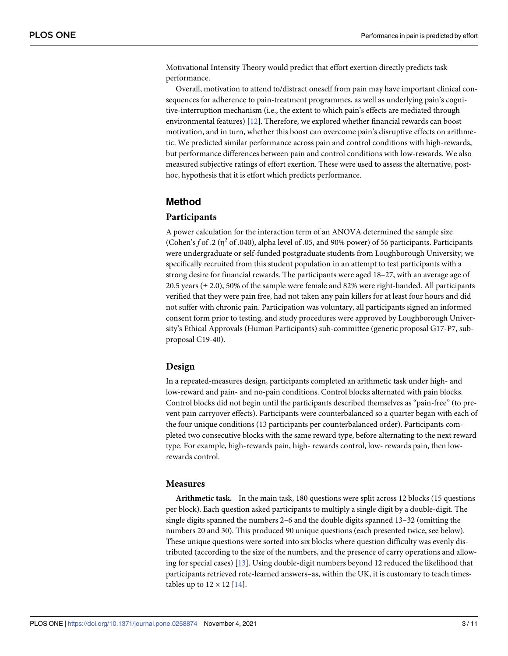<span id="page-2-0"></span>Motivational Intensity Theory would predict that effort exertion directly predicts task performance.

Overall, motivation to attend to/distract oneself from pain may have important clinical consequences for adherence to pain-treatment programmes, as well as underlying pain's cognitive-interruption mechanism (i.e., the extent to which pain's effects are mediated through environmental features) [\[12\]](#page-10-0). Therefore, we explored whether financial rewards can boost motivation, and in turn, whether this boost can overcome pain's disruptive effects on arithmetic. We predicted similar performance across pain and control conditions with high-rewards, but performance differences between pain and control conditions with low-rewards. We also measured subjective ratings of effort exertion. These were used to assess the alternative, posthoc, hypothesis that it is effort which predicts performance.

### **Method**

#### **Participants**

A power calculation for the interaction term of an ANOVA determined the sample size (Cohen's  $f$  of .2 ( $\eta^2$  of .040), alpha level of .05, and 90% power) of 56 participants. Participants were undergraduate or self-funded postgraduate students from Loughborough University; we specifically recruited from this student population in an attempt to test participants with a strong desire for financial rewards. The participants were aged 18–27, with an average age of 20.5 years (± 2.0), 50% of the sample were female and 82% were right-handed. All participants verified that they were pain free, had not taken any pain killers for at least four hours and did not suffer with chronic pain. Participation was voluntary, all participants signed an informed consent form prior to testing, and study procedures were approved by Loughborough University's Ethical Approvals (Human Participants) sub-committee (generic proposal G17-P7, subproposal C19-40).

#### **Design**

In a repeated-measures design, participants completed an arithmetic task under high- and low-reward and pain- and no-pain conditions. Control blocks alternated with pain blocks. Control blocks did not begin until the participants described themselves as "pain-free" (to prevent pain carryover effects). Participants were counterbalanced so a quarter began with each of the four unique conditions (13 participants per counterbalanced order). Participants completed two consecutive blocks with the same reward type, before alternating to the next reward type. For example, high-rewards pain, high- rewards control, low- rewards pain, then lowrewards control.

#### **Measures**

**Arithmetic task.** In the main task, 180 questions were split across 12 blocks (15 questions per block). Each question asked participants to multiply a single digit by a double-digit. The single digits spanned the numbers 2–6 and the double digits spanned 13–32 (omitting the numbers 20 and 30). This produced 90 unique questions (each presented twice, see below). These unique questions were sorted into six blocks where question difficulty was evenly distributed (according to the size of the numbers, and the presence of carry operations and allowing for special cases) [[13](#page-10-0)]. Using double-digit numbers beyond 12 reduced the likelihood that participants retrieved rote-learned answers–as, within the UK, it is customary to teach timestables up to  $12 \times 12$  [[14](#page-10-0)].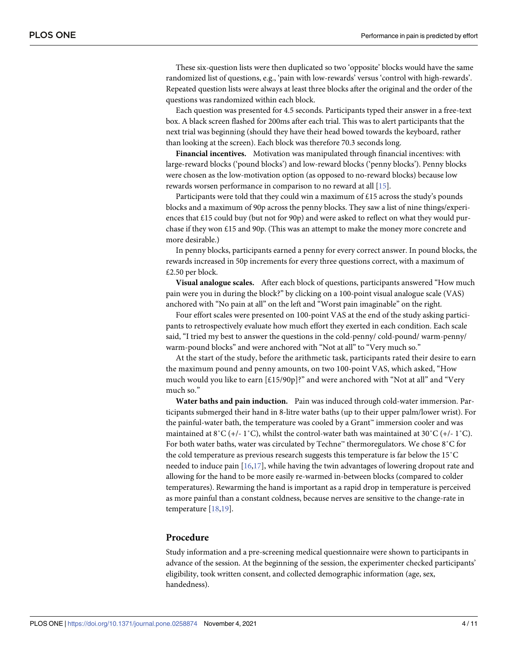<span id="page-3-0"></span>These six-question lists were then duplicated so two 'opposite' blocks would have the same randomized list of questions, e.g., 'pain with low-rewards' versus 'control with high-rewards'. Repeated question lists were always at least three blocks after the original and the order of the questions was randomized within each block.

Each question was presented for 4.5 seconds. Participants typed their answer in a free-text box. A black screen flashed for 200ms after each trial. This was to alert participants that the next trial was beginning (should they have their head bowed towards the keyboard, rather than looking at the screen). Each block was therefore 70.3 seconds long.

**Financial incentives.** Motivation was manipulated through financial incentives: with large-reward blocks ('pound blocks') and low-reward blocks ('penny blocks'). Penny blocks were chosen as the low-motivation option (as opposed to no-reward blocks) because low rewards worsen performance in comparison to no reward at all [\[15\]](#page-10-0).

Participants were told that they could win a maximum of £15 across the study's pounds blocks and a maximum of 90p across the penny blocks. They saw a list of nine things/experiences that  $£15$  could buy (but not for 90p) and were asked to reflect on what they would purchase if they won £15 and 90p. (This was an attempt to make the money more concrete and more desirable.)

In penny blocks, participants earned a penny for every correct answer. In pound blocks, the rewards increased in 50p increments for every three questions correct, with a maximum of £2.50 per block.

**Visual analogue scales.** After each block of questions, participants answered "How much pain were you in during the block?" by clicking on a 100-point visual analogue scale (VAS) anchored with "No pain at all" on the left and "Worst pain imaginable" on the right.

Four effort scales were presented on 100-point VAS at the end of the study asking participants to retrospectively evaluate how much effort they exerted in each condition. Each scale said, "I tried my best to answer the questions in the cold-penny/ cold-pound/ warm-penny/ warm-pound blocks" and were anchored with "Not at all" to "Very much so."

At the start of the study, before the arithmetic task, participants rated their desire to earn the maximum pound and penny amounts, on two 100-point VAS, which asked, "How much would you like to earn [£15/90p]?" and were anchored with "Not at all" and "Very much so."

**Water baths and pain induction.** Pain was induced through cold-water immersion. Participants submerged their hand in 8-litre water baths (up to their upper palm/lower wrist). For the painful-water bath, the temperature was cooled by a Grant™ immersion cooler and was maintained at  $8^{\circ}C$  (+/- 1 $^{\circ}C$ ), whilst the control-water bath was maintained at  $30^{\circ}C$  (+/- 1 $^{\circ}C$ ). For both water baths, water was circulated by Techne™ thermoregulators. We chose 8˚C for the cold temperature as previous research suggests this temperature is far below the 15˚C needed to induce pain [[16](#page-10-0),[17](#page-10-0)], while having the twin advantages of lowering dropout rate and allowing for the hand to be more easily re-warmed in-between blocks (compared to colder temperatures). Rewarming the hand is important as a rapid drop in temperature is perceived as more painful than a constant coldness, because nerves are sensitive to the change-rate in temperature [[18,19\]](#page-10-0).

#### **Procedure**

Study information and a pre-screening medical questionnaire were shown to participants in advance of the session. At the beginning of the session, the experimenter checked participants' eligibility, took written consent, and collected demographic information (age, sex, handedness).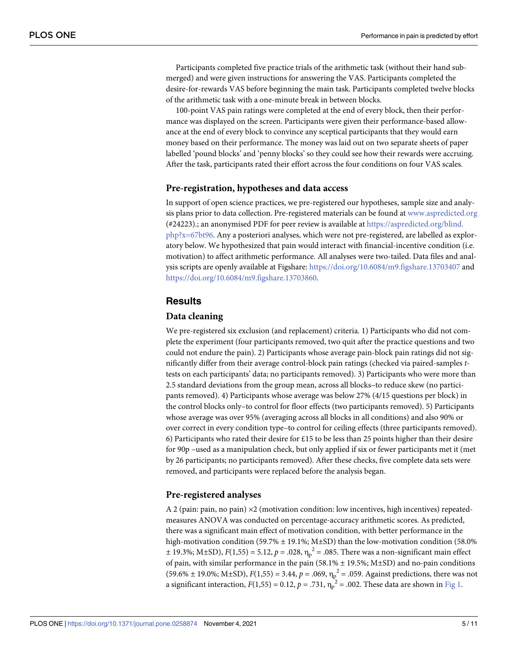<span id="page-4-0"></span>Participants completed five practice trials of the arithmetic task (without their hand submerged) and were given instructions for answering the VAS. Participants completed the desire-for-rewards VAS before beginning the main task. Participants completed twelve blocks of the arithmetic task with a one-minute break in between blocks.

100-point VAS pain ratings were completed at the end of every block, then their performance was displayed on the screen. Participants were given their performance-based allowance at the end of every block to convince any sceptical participants that they would earn money based on their performance. The money was laid out on two separate sheets of paper labelled 'pound blocks' and 'penny blocks' so they could see how their rewards were accruing. After the task, participants rated their effort across the four conditions on four VAS scales.

#### **Pre-registration, hypotheses and data access**

In support of open science practices, we pre-registered our hypotheses, sample size and analysis plans prior to data collection. Pre-registered materials can be found at [www.aspredicted.org](http://www.aspredicted.org/) (#24223).; an anonymised PDF for peer review is available at [https://aspredicted.org/blind.](https://aspredicted.org/blind.php?x=67bt96) [php?x=67bt96.](https://aspredicted.org/blind.php?x=67bt96) Any a posteriori analyses, which were not pre-registered, are labelled as exploratory below. We hypothesized that pain would interact with financial-incentive condition (i.e. motivation) to affect arithmetic performance. All analyses were two-tailed. Data files and analysis scripts are openly available at Figshare: <https://doi.org/10.6084/m9.figshare.13703407> and [https://doi.org/10.6084/m9.figshare.13703860.](https://doi.org/10.6084/m9.figshare.13703860)

#### **Results**

#### **Data cleaning**

We pre-registered six exclusion (and replacement) criteria. 1) Participants who did not complete the experiment (four participants removed, two quit after the practice questions and two could not endure the pain). 2) Participants whose average pain-block pain ratings did not significantly differ from their average control-block pain ratings (checked via paired-samples *t*tests on each participants' data; no participants removed). 3) Participants who were more than 2.5 standard deviations from the group mean, across all blocks–to reduce skew (no participants removed). 4) Participants whose average was below 27% (4/15 questions per block) in the control blocks only–to control for floor effects (two participants removed). 5) Participants whose average was over 95% (averaging across all blocks in all conditions) and also 90% or over correct in every condition type–to control for ceiling effects (three participants removed). 6) Participants who rated their desire for £15 to be less than 25 points higher than their desire for 90p –used as a manipulation check, but only applied if six or fewer participants met it (met by 26 participants; no participants removed). After these checks, five complete data sets were removed, and participants were replaced before the analysis began.

#### **Pre-registered analyses**

A 2 (pain: pain, no pain) ×2 (motivation condition: low incentives, high incentives) repeatedmeasures ANOVA was conducted on percentage-accuracy arithmetic scores. As predicted, there was a significant main effect of motivation condition, with better performance in the high-motivation condition (59.7% ± 19.1%; M±SD) than the low-motivation condition (58.0%  $\pm$  19.3%; M±SD),  $F(1,55) = 5.12$ ,  $p = .028$ ,  $\eta_p^2 = .085$ . There was a non-significant main effect of pain, with similar performance in the pain (58.1%  $\pm$  19.5%; M±SD) and no-pain conditions  $(59.6\% \pm 19.0\%; \text{M\pm SD}), F(1,55) = 3.44, p = .069, \eta_p^2 = .059.$  Against predictions, there was not a significant interaction,  $F(1,55) = 0.12$ ,  $p = .731$ ,  $\eta_P^2 = .002$ . These data are shown in [Fig](#page-5-0) 1.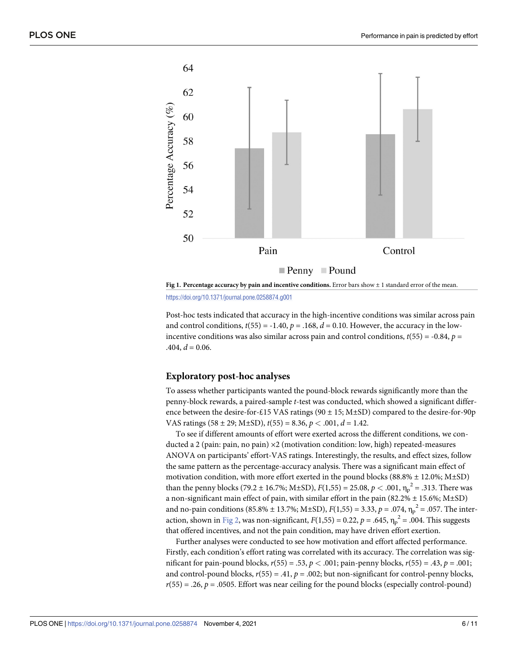<span id="page-5-0"></span>



Post-hoc tests indicated that accuracy in the high-incentive conditions was similar across pain and control conditions,  $t(55) = -1.40$ ,  $p = .168$ ,  $d = 0.10$ . However, the accuracy in the lowincentive conditions was also similar across pain and control conditions,  $t(55) = -0.84$ ,  $p =$  $.404, d = 0.06.$ 

#### **Exploratory post-hoc analyses**

To assess whether participants wanted the pound-block rewards significantly more than the penny-block rewards, a paired-sample *t*-test was conducted, which showed a significant difference between the desire-for-£15 VAS ratings (90 ± 15; M±SD) compared to the desire-for-90p VAS ratings  $(58 \pm 29; \text{M} \pm \text{SD})$ ,  $t(55) = 8.36$ ,  $p < .001$ ,  $d = 1.42$ .

To see if different amounts of effort were exerted across the different conditions, we conducted a 2 (pain: pain, no pain)  $\times$ 2 (motivation condition: low, high) repeated-measures ANOVA on participants' effort-VAS ratings. Interestingly, the results, and effect sizes, follow the same pattern as the percentage-accuracy analysis. There was a significant main effect of motivation condition, with more effort exerted in the pound blocks (88.8%  $\pm$  12.0%; M $\pm$ SD) than the penny blocks (79.2 ± 16.7%; M±SD),  $F(1,55) = 25.08, p < .001, \eta_p^2 = .313$ . There was a non-significant main effect of pain, with similar effort in the pain (82.2%  $\pm$  15.6%; M $\pm$ SD) and no-pain conditions (85.8% ± 13.7%; M±SD),  $F(1,55) = 3.33$ ,  $p = .074$ ,  $\eta_p^2 = .057$ . The inter-action, shown in [Fig](#page-6-0) 2, was non-significant,  $F(1,55) = 0.22$ ,  $p = .645$ ,  $\eta_p^2 = .004$ . This suggests that offered incentives, and not the pain condition, may have driven effort exertion.

Further analyses were conducted to see how motivation and effort affected performance. Firstly, each condition's effort rating was correlated with its accuracy. The correlation was significant for pain-pound blocks, *r*(55) = .53, *p <* .001; pain-penny blocks, *r*(55) = .43, *p* = .001; and control-pound blocks,  $r(55) = .41$ ,  $p = .002$ ; but non-significant for control-penny blocks,  $r(55) = .26$ ,  $p = .0505$ . Effort was near ceiling for the pound blocks (especially control-pound)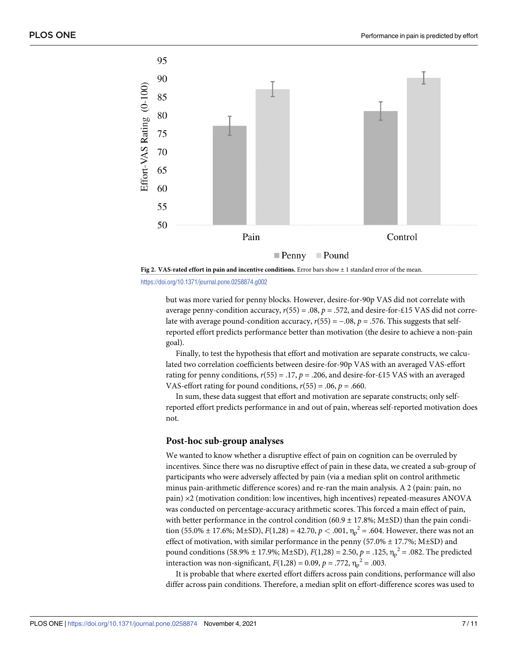<span id="page-6-0"></span>



but was more varied for penny blocks. However, desire-for-90p VAS did not correlate with average penny-condition accuracy, *r*(55) = .08, *p* = .572, and desire-for-£15 VAS did not correlate with average pound-condition accuracy,  $r(55) = -.08$ ,  $p = .576$ . This suggests that selfreported effort predicts performance better than motivation (the desire to achieve a non-pain goal).

Finally, to test the hypothesis that effort and motivation are separate constructs, we calculated two correlation coefficients between desire-for-90p VAS with an averaged VAS-effort rating for penny conditions,  $r(55) = .17$ ,  $p = .206$ , and desire-for-£15 VAS with an averaged VAS-effort rating for pound conditions,  $r(55) = .06$ ,  $p = .660$ .

In sum, these data suggest that effort and motivation are separate constructs; only selfreported effort predicts performance in and out of pain, whereas self-reported motivation does not.

#### **Post-hoc sub-group analyses**

We wanted to know whether a disruptive effect of pain on cognition can be overruled by incentives. Since there was no disruptive effect of pain in these data, we created a sub-group of participants who were adversely affected by pain (via a median split on control arithmetic minus pain-arithmetic difference scores) and re-ran the main analysis. A 2 (pain: pain, no pain) ×2 (motivation condition: low incentives, high incentives) repeated-measures ANOVA was conducted on percentage-accuracy arithmetic scores. This forced a main effect of pain, with better performance in the control condition (60.9  $\pm$  17.8%; M $\pm$ SD) than the pain condition (55.0% ± 17.6%; M±SD),  $F(1,28) = 42.70, p < .001, \eta_p^2 = .604$ . However, there was not an effect of motivation, with similar performance in the penny (57.0%  $\pm$  17.7%; M $\pm$ SD) and pound conditions (58.9% ± 17.9%; M±SD),  $F(1,28) = 2.50$ ,  $p = .125$ ,  $\eta_p^2 = .082$ . The predicted interaction was non-significant,  $F(1,28) = 0.09$ ,  $p = .772$ ,  $\eta_p^2 = .003$ .

It is probable that where exerted effort differs across pain conditions, performance will also differ across pain conditions. Therefore, a median split on effort-difference scores was used to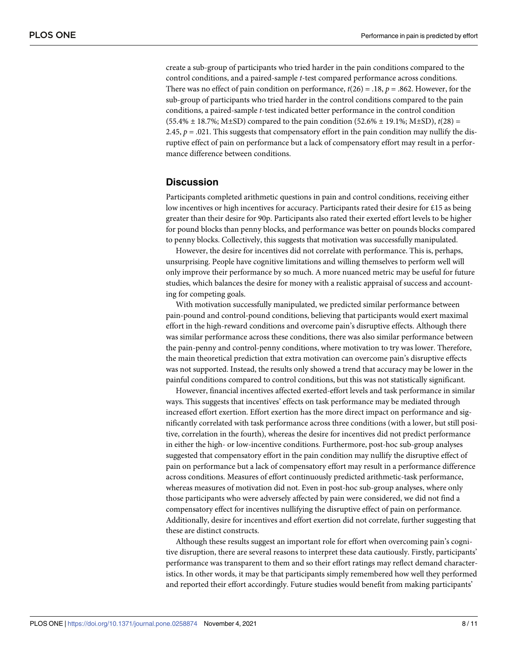create a sub-group of participants who tried harder in the pain conditions compared to the control conditions, and a paired-sample *t*-test compared performance across conditions. There was no effect of pain condition on performance, *t*(26) = .18, *p* = .862. However, for the sub-group of participants who tried harder in the control conditions compared to the pain conditions, a paired-sample *t*-test indicated better performance in the control condition  $(55.4\% \pm 18.7\%; M\pm SD)$  compared to the pain condition  $(52.6\% \pm 19.1\%; M\pm SD)$ ,  $t(28) =$ 2.45,  $p = .021$ . This suggests that compensatory effort in the pain condition may nullify the disruptive effect of pain on performance but a lack of compensatory effort may result in a performance difference between conditions.

#### **Discussion**

Participants completed arithmetic questions in pain and control conditions, receiving either low incentives or high incentives for accuracy. Participants rated their desire for £15 as being greater than their desire for 90p. Participants also rated their exerted effort levels to be higher for pound blocks than penny blocks, and performance was better on pounds blocks compared to penny blocks. Collectively, this suggests that motivation was successfully manipulated.

However, the desire for incentives did not correlate with performance. This is, perhaps, unsurprising. People have cognitive limitations and willing themselves to perform well will only improve their performance by so much. A more nuanced metric may be useful for future studies, which balances the desire for money with a realistic appraisal of success and accounting for competing goals.

With motivation successfully manipulated, we predicted similar performance between pain-pound and control-pound conditions, believing that participants would exert maximal effort in the high-reward conditions and overcome pain's disruptive effects. Although there was similar performance across these conditions, there was also similar performance between the pain-penny and control-penny conditions, where motivation to try was lower. Therefore, the main theoretical prediction that extra motivation can overcome pain's disruptive effects was not supported. Instead, the results only showed a trend that accuracy may be lower in the painful conditions compared to control conditions, but this was not statistically significant.

However, financial incentives affected exerted-effort levels and task performance in similar ways. This suggests that incentives' effects on task performance may be mediated through increased effort exertion. Effort exertion has the more direct impact on performance and significantly correlated with task performance across three conditions (with a lower, but still positive, correlation in the fourth), whereas the desire for incentives did not predict performance in either the high- or low-incentive conditions. Furthermore, post-hoc sub-group analyses suggested that compensatory effort in the pain condition may nullify the disruptive effect of pain on performance but a lack of compensatory effort may result in a performance difference across conditions. Measures of effort continuously predicted arithmetic-task performance, whereas measures of motivation did not. Even in post-hoc sub-group analyses, where only those participants who were adversely affected by pain were considered, we did not find a compensatory effect for incentives nullifying the disruptive effect of pain on performance. Additionally, desire for incentives and effort exertion did not correlate, further suggesting that these are distinct constructs.

Although these results suggest an important role for effort when overcoming pain's cognitive disruption, there are several reasons to interpret these data cautiously. Firstly, participants' performance was transparent to them and so their effort ratings may reflect demand characteristics. In other words, it may be that participants simply remembered how well they performed and reported their effort accordingly. Future studies would benefit from making participants'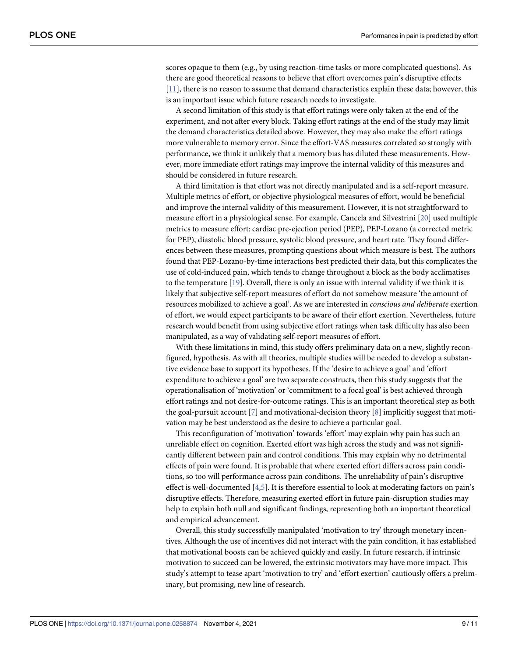<span id="page-8-0"></span>scores opaque to them (e.g., by using reaction-time tasks or more complicated questions). As there are good theoretical reasons to believe that effort overcomes pain's disruptive effects [\[11\]](#page-9-0), there is no reason to assume that demand characteristics explain these data; however, this is an important issue which future research needs to investigate.

A second limitation of this study is that effort ratings were only taken at the end of the experiment, and not after every block. Taking effort ratings at the end of the study may limit the demand characteristics detailed above. However, they may also make the effort ratings more vulnerable to memory error. Since the effort-VAS measures correlated so strongly with performance, we think it unlikely that a memory bias has diluted these measurements. However, more immediate effort ratings may improve the internal validity of this measures and should be considered in future research.

A third limitation is that effort was not directly manipulated and is a self-report measure. Multiple metrics of effort, or objective physiological measures of effort, would be beneficial and improve the internal validity of this measurement. However, it is not straightforward to measure effort in a physiological sense. For example, Cancela and Silvestrini [[20](#page-10-0)] used multiple metrics to measure effort: cardiac pre-ejection period (PEP), PEP-Lozano (a corrected metric for PEP), diastolic blood pressure, systolic blood pressure, and heart rate. They found differences between these measures, prompting questions about which measure is best. The authors found that PEP-Lozano-by-time interactions best predicted their data, but this complicates the use of cold-induced pain, which tends to change throughout a block as the body acclimatises to the temperature [[19](#page-10-0)]. Overall, there is only an issue with internal validity if we think it is likely that subjective self-report measures of effort do not somehow measure 'the amount of resources mobilized to achieve a goal'. As we are interested in *conscious and deliberate* exertion of effort, we would expect participants to be aware of their effort exertion. Nevertheless, future research would benefit from using subjective effort ratings when task difficulty has also been manipulated, as a way of validating self-report measures of effort.

With these limitations in mind, this study offers preliminary data on a new, slightly reconfigured, hypothesis. As with all theories, multiple studies will be needed to develop a substantive evidence base to support its hypotheses. If the 'desire to achieve a goal' and 'effort expenditure to achieve a goal' are two separate constructs, then this study suggests that the operationalisation of 'motivation' or 'commitment to a focal goal' is best achieved through effort ratings and not desire-for-outcome ratings. This is an important theoretical step as both the goal-pursuit account  $[7]$  $[7]$  and motivational-decision theory  $[8]$  $[8]$  $[8]$  implicitly suggest that motivation may be best understood as the desire to achieve a particular goal.

This reconfiguration of 'motivation' towards 'effort' may explain why pain has such an unreliable effect on cognition. Exerted effort was high across the study and was not significantly different between pain and control conditions. This may explain why no detrimental effects of pain were found. It is probable that where exerted effort differs across pain conditions, so too will performance across pain conditions. The unreliability of pain's disruptive effect is well-documented [[4](#page-9-0),[5](#page-9-0)]. It is therefore essential to look at moderating factors on pain's disruptive effects. Therefore, measuring exerted effort in future pain-disruption studies may help to explain both null and significant findings, representing both an important theoretical and empirical advancement.

Overall, this study successfully manipulated 'motivation to try' through monetary incentives. Although the use of incentives did not interact with the pain condition, it has established that motivational boosts can be achieved quickly and easily. In future research, if intrinsic motivation to succeed can be lowered, the extrinsic motivators may have more impact. This study's attempt to tease apart 'motivation to try' and 'effort exertion' cautiously offers a preliminary, but promising, new line of research.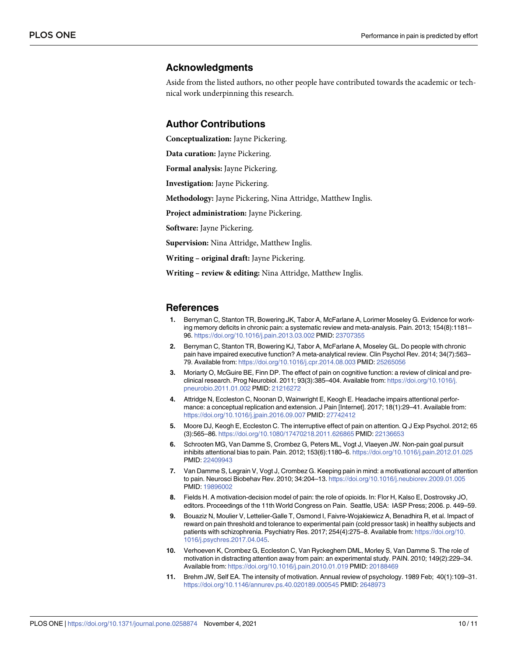#### <span id="page-9-0"></span>**Acknowledgments**

Aside from the listed authors, no other people have contributed towards the academic or technical work underpinning this research.

#### **Author Contributions**

**Conceptualization:** Jayne Pickering.

**Data curation:** Jayne Pickering.

**Formal analysis:** Jayne Pickering.

**Investigation:** Jayne Pickering.

**Methodology:** Jayne Pickering, Nina Attridge, Matthew Inglis.

**Project administration:** Jayne Pickering.

**Software:** Jayne Pickering.

**Supervision:** Nina Attridge, Matthew Inglis.

**Writing – original draft:** Jayne Pickering.

**Writing – review & editing:** Nina Attridge, Matthew Inglis.

#### **References**

- **[1](#page-1-0).** Berryman C, Stanton TR, Bowering JK, Tabor A, McFarlane A, Lorimer Moseley G. Evidence for working memory deficits in chronic pain: a systematic review and meta-analysis. Pain. 2013; 154(8):1181– 96. <https://doi.org/10.1016/j.pain.2013.03.002> PMID: [23707355](http://www.ncbi.nlm.nih.gov/pubmed/23707355)
- **2.** Berryman C, Stanton TR, Bowering KJ, Tabor A, McFarlane A, Moseley GL. Do people with chronic pain have impaired executive function? A meta-analytical review. Clin Psychol Rev. 2014; 34(7):563– 79. Available from: <https://doi.org/10.1016/j.cpr.2014.08.003> PMID: [25265056](http://www.ncbi.nlm.nih.gov/pubmed/25265056)
- **[3](#page-1-0).** Moriarty O, McGuire BE, Finn DP. The effect of pain on cognitive function: a review of clinical and preclinical research. Prog Neurobiol. 2011; 93(3):385–404. Available from: [https://doi.org/10.1016/j.](https://doi.org/10.1016/j.pneurobio.2011.01.002) [pneurobio.2011.01.002](https://doi.org/10.1016/j.pneurobio.2011.01.002) PMID: [21216272](http://www.ncbi.nlm.nih.gov/pubmed/21216272)
- **[4](#page-1-0).** Attridge N, Eccleston C, Noonan D, Wainwright E, Keogh E. Headache impairs attentional performance: a conceptual replication and extension. J Pain [Internet]. 2017; 18(1):29–41. Available from: <https://doi.org/10.1016/j.jpain.2016.09.007> PMID: [27742412](http://www.ncbi.nlm.nih.gov/pubmed/27742412)
- **[5](#page-1-0).** Moore DJ, Keogh E, Eccleston C. The interruptive effect of pain on attention. Q J Exp Psychol. 2012; 65 (3):565–86. <https://doi.org/10.1080/17470218.2011.626865> PMID: [22136653](http://www.ncbi.nlm.nih.gov/pubmed/22136653)
- **[6](#page-1-0).** Schrooten MG, Van Damme S, Crombez G, Peters ML, Vogt J, Vlaeyen JW. Non-pain goal pursuit inhibits attentional bias to pain. Pain. 2012; 153(6):1180–6. <https://doi.org/10.1016/j.pain.2012.01.025> PMID: [22409943](http://www.ncbi.nlm.nih.gov/pubmed/22409943)
- **[7](#page-1-0).** Van Damme S, Legrain V, Vogt J, Crombez G. Keeping pain in mind: a motivational account of attention to pain. Neurosci Biobehav Rev. 2010; 34:204–13. <https://doi.org/10.1016/j.neubiorev.2009.01.005> PMID: [19896002](http://www.ncbi.nlm.nih.gov/pubmed/19896002)
- **[8](#page-1-0).** Fields H. A motivation-decision model of pain: the role of opioids. In: Flor H, Kalso E, Dostrovsky JO, editors. Proceedings of the 11th World Congress on Pain. Seattle, USA: IASP Press; 2006. p. 449–59.
- **[9](#page-1-0).** Bouaziz N, Moulier V, Lettelier-Galle T, Osmond I, Faivre-Wojakiewicz A, Benadhira R, et al. Impact of reward on pain threshold and tolerance to experimental pain (cold pressor task) in healthy subjects and patients with schizophrenia. Psychiatry Res. 2017; 254(4):275-8. Available from: [https://doi.org/10.](https://doi.org/10.1016/j.psychres.2017.04.045) [1016/j.psychres.2017.04.045](https://doi.org/10.1016/j.psychres.2017.04.045).
- **[10](#page-1-0).** Verhoeven K, Crombez G, Eccleston C, Van Ryckeghem DML, Morley S, Van Damme S. The role of motivation in distracting attention away from pain: an experimental study. PAIN. 2010; 149(2):229–34. Available from: <https://doi.org/10.1016/j.pain.2010.01.019> PMID: [20188469](http://www.ncbi.nlm.nih.gov/pubmed/20188469)
- **[11](#page-1-0).** Brehm JW, Self EA. The intensity of motivation. Annual review of psychology. 1989 Feb; 40(1):109–31. <https://doi.org/10.1146/annurev.ps.40.020189.000545> PMID: [2648973](http://www.ncbi.nlm.nih.gov/pubmed/2648973)